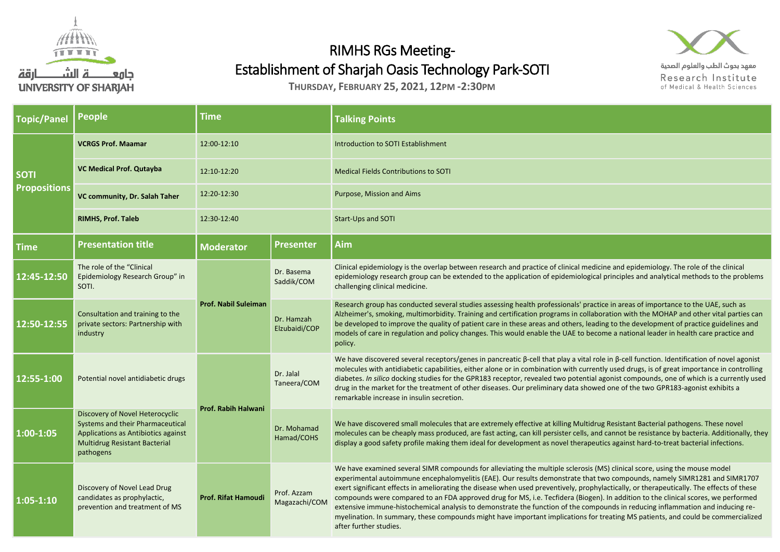

## RIMHS RGs Meeting-Establishment of Sharjah Oasis Technology Park-SOTI

**THURSDAY, FEBRUARY 25, 2021, 12PM -2:30PM**

| <b>Topic/Panel</b>                 | <b>People</b>                                                                                                                                                   | <b>Time</b>                 |                              | <b>Talking Points</b>                                                                                                                                                                                                                                                                                                                                                                                                                                                                                                     |
|------------------------------------|-----------------------------------------------------------------------------------------------------------------------------------------------------------------|-----------------------------|------------------------------|---------------------------------------------------------------------------------------------------------------------------------------------------------------------------------------------------------------------------------------------------------------------------------------------------------------------------------------------------------------------------------------------------------------------------------------------------------------------------------------------------------------------------|
| <b>SOTI</b><br><b>Propositions</b> | <b>VCRGS Prof. Maamar</b>                                                                                                                                       | 12:00-12:10                 |                              | Introduction to SOTI Establishment                                                                                                                                                                                                                                                                                                                                                                                                                                                                                        |
|                                    | <b>VC Medical Prof. Qutayba</b>                                                                                                                                 | 12:10-12:20                 |                              | <b>Medical Fields Contributions to SOTI</b>                                                                                                                                                                                                                                                                                                                                                                                                                                                                               |
|                                    | VC community, Dr. Salah Taher                                                                                                                                   | 12:20-12:30                 |                              | Purpose, Mission and Aims                                                                                                                                                                                                                                                                                                                                                                                                                                                                                                 |
|                                    | <b>RIMHS, Prof. Taleb</b>                                                                                                                                       | 12:30-12:40                 |                              | <b>Start-Ups and SOTI</b>                                                                                                                                                                                                                                                                                                                                                                                                                                                                                                 |
| <b>Time</b>                        | <b>Presentation title</b>                                                                                                                                       | <b>Moderator</b>            | <b>Presenter</b>             | Aim                                                                                                                                                                                                                                                                                                                                                                                                                                                                                                                       |
| 12:45-12:50                        | The role of the "Clinical<br>Epidemiology Research Group" in<br>SOTI.                                                                                           | <b>Prof. Nabil Suleiman</b> | Dr. Basema<br>Saddik/COM     | Clinical epidemiology is the overlap between research and practice of clinical mo<br>epidemiology research group can be extended to the application of epidemiolog<br>challenging clinical medicine.                                                                                                                                                                                                                                                                                                                      |
| 12:50-12:55                        | Consultation and training to the<br>private sectors: Partnership with<br>industry                                                                               |                             | Dr. Hamzah<br>Elzubaidi/COP  | Research group has conducted several studies assessing health professionals' pr<br>Alzheimer's, smoking, multimorbidity. Training and certification programs in col<br>be developed to improve the quality of patient care in these areas and others, I<br>models of care in regulation and policy changes. This would enable the UAE to b<br>policy.                                                                                                                                                                     |
| 12:55-1:00                         | Potential novel antidiabetic drugs                                                                                                                              | Prof. Rabih Halwani         | Dr. Jalal<br>Taneera/COM     | We have discovered several receptors/genes in pancreatic $\beta$ -cell that play a vita<br>molecules with antidiabetic capabilities, either alone or in combination with cur<br>diabetes. In silico docking studies for the GPR183 receptor, revealed two potent<br>drug in the market for the treatment of other diseases. Our preliminary data sho<br>remarkable increase in insulin secretion.                                                                                                                         |
| $1:00-1:05$                        | Discovery of Novel Heterocyclic<br>Systems and their Pharmaceutical<br>Applications as Antibiotics against<br><b>Multidrug Resistant Bacterial</b><br>pathogens |                             | Dr. Mohamad<br>Hamad/COHS    | We have discovered small molecules that are extremely effective at killing Mult<br>molecules can be cheaply mass produced, are fast acting, can kill persister cells,<br>display a good safety profile making them ideal for development as novel thera                                                                                                                                                                                                                                                                   |
| $1:05 - 1:10$                      | Discovery of Novel Lead Drug<br>candidates as prophylactic,<br>prevention and treatment of MS                                                                   | <b>Prof. Rifat Hamoudi</b>  | Prof. Azzam<br>Magazachi/COM | We have examined several SIMR compounds for alleviating the multiple sclerosi<br>experimental autoimmune encephalomyelitis (EAE). Our results demonstrate th<br>exert significant effects in ameliorating the disease when used preventively, pro<br>compounds were compared to an FDA approved drug for MS, i.e. Tecfidera (Bio<br>extensive immune-histochemical analysis to demonstrate the function of the co<br>myelination. In summary, these compounds might have important implications<br>after further studies. |



معهد بحوث الطب والعلوم الصحية Research Institute of Medical & Health Sciences

edicine and epidemiology. The role of the clinical gical principles and analytical methods to the problems

actice in areas of importance to the UAE, such as laboration with the MOHAP and other vital parties can eading to the development of practice guidelines and ecome a national leader in health care practice and

Repred in β-cell function. Identification of novel agonist molecules with antidiation creations in controlling responsion with currently used drugs, is of great importance in controlling tial agonist compounds, one of which is a currently used owed one of the two GPR183-agonist exhibits a

drug Resistant Bacterial pathogens. These novel and cannot be resistance by bacteria. Additionally, they display a good safety profile them ideal form intections.

is (MS) clinical score, using the mouse model at two compounds, namely SIMR1281 and SIMR1707 phylactically, or therapeutically. The effects of these gen). In addition to the clinical scores, we performed ompounds in reducing inflammation and inducing refor treating MS patients, and could be commercialized